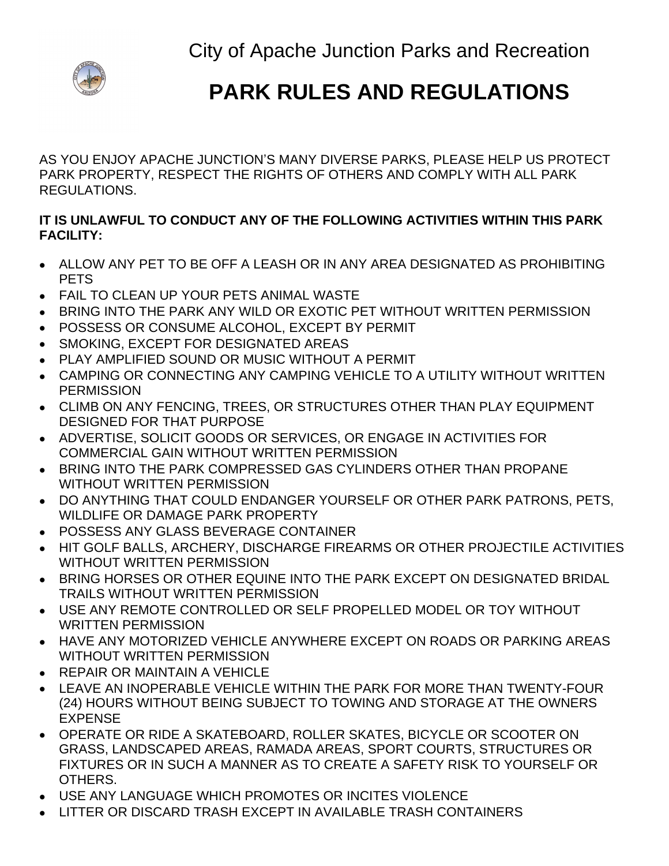City of Apache Junction Parks and Recreation



## **PARK RULES AND REGULATIONS**

AS YOU ENJOY APACHE JUNCTION'S MANY DIVERSE PARKS, PLEASE HELP US PROTECT PARK PROPERTY, RESPECT THE RIGHTS OF OTHERS AND COMPLY WITH ALL PARK REGULATIONS.

## **IT IS UNLAWFUL TO CONDUCT ANY OF THE FOLLOWING ACTIVITIES WITHIN THIS PARK FACILITY:**

- ALLOW ANY PET TO BE OFF A LEASH OR IN ANY AREA DESIGNATED AS PROHIBITING PETS
- FAIL TO CLEAN UP YOUR PETS ANIMAL WASTE
- BRING INTO THE PARK ANY WILD OR EXOTIC PET WITHOUT WRITTEN PERMISSION
- POSSESS OR CONSUME ALCOHOL, EXCEPT BY PERMIT
- SMOKING, EXCEPT FOR DESIGNATED AREAS
- PLAY AMPLIFIED SOUND OR MUSIC WITHOUT A PERMIT
- CAMPING OR CONNECTING ANY CAMPING VEHICLE TO A UTILITY WITHOUT WRITTEN **PERMISSION**
- CLIMB ON ANY FENCING, TREES, OR STRUCTURES OTHER THAN PLAY EQUIPMENT DESIGNED FOR THAT PURPOSE
- ADVERTISE, SOLICIT GOODS OR SERVICES, OR ENGAGE IN ACTIVITIES FOR COMMERCIAL GAIN WITHOUT WRITTEN PERMISSION
- BRING INTO THE PARK COMPRESSED GAS CYLINDERS OTHER THAN PROPANE WITHOUT WRITTEN PERMISSION
- DO ANYTHING THAT COULD ENDANGER YOURSELF OR OTHER PARK PATRONS, PETS, WILDLIFE OR DAMAGE PARK PROPERTY
- POSSESS ANY GLASS BEVERAGE CONTAINER
- HIT GOLF BALLS, ARCHERY, DISCHARGE FIREARMS OR OTHER PROJECTILE ACTIVITIES WITHOUT WRITTEN PERMISSION
- **BRING HORSES OR OTHER EQUINE INTO THE PARK EXCEPT ON DESIGNATED BRIDAL** TRAILS WITHOUT WRITTEN PERMISSION
- USE ANY REMOTE CONTROLLED OR SELF PROPELLED MODEL OR TOY WITHOUT WRITTEN PERMISSION
- HAVE ANY MOTORIZED VEHICLE ANYWHERE EXCEPT ON ROADS OR PARKING AREAS WITHOUT WRITTEN PERMISSION
- REPAIR OR MAINTAIN A VEHICLE
- LEAVE AN INOPERABLE VEHICLE WITHIN THE PARK FOR MORE THAN TWENTY-FOUR (24) HOURS WITHOUT BEING SUBJECT TO TOWING AND STORAGE AT THE OWNERS EXPENSE
- OPERATE OR RIDE A SKATEBOARD, ROLLER SKATES, BICYCLE OR SCOOTER ON GRASS, LANDSCAPED AREAS, RAMADA AREAS, SPORT COURTS, STRUCTURES OR FIXTURES OR IN SUCH A MANNER AS TO CREATE A SAFETY RISK TO YOURSELF OR OTHERS.
- USE ANY LANGUAGE WHICH PROMOTES OR INCITES VIOLENCE
- LITTER OR DISCARD TRASH EXCEPT IN AVAILABLE TRASH CONTAINERS